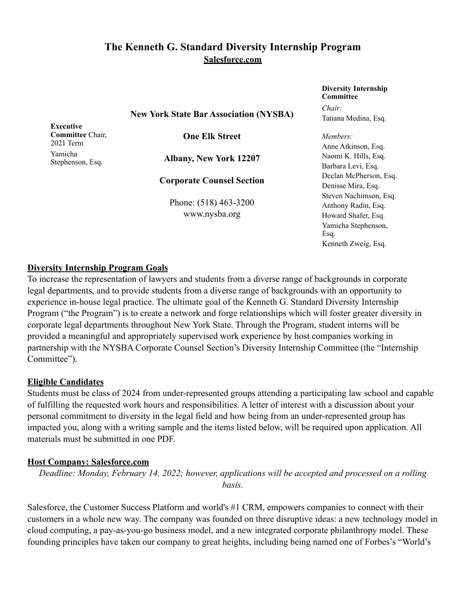# **The Kenneth G. Standard Diversity Internship Program Salesforce.com**

**New York State Bar Association (NYSBA)**

**Executive Committee** Chair, 2021 Term Yamicha Stephenson, Esq.

**One Elk Street**

**Albany, New York 12207**

**Corporate Counsel Section**

Phone: (518) 463-3200 www.nysba.org

**Diversity Internship Committee** *Chair:* Tatiana Medina, Esq.

*Members:* Anne Atkinson, Esq. Naomi K. Hills, Esq. Barbara Levi, Esq. Declan McPherson, Esq. Denisse Mira, Esq. Steven Nachimson, Esq. Anthony Radin, Esq. Howard Shafer, Esq. Yamicha Stephenson, Esq. Kenneth Zweig, Esq.

## **Diversity Internship Program Goals**

To increase the representation of lawyers and students from a diverse range of backgrounds in corporate legal departments, and to provide students from a diverse range of backgrounds with an opportunity to experience in-house legal practice. The ultimate goal of the Kenneth G. Standard Diversity Internship Program ("the Program") is to create a network and forge relationships which will foster greater diversity in corporate legal departments throughout New York State. Through the Program, student interns will be provided a meaningful and appropriately supervised work experience by host companies working in partnership with the NYSBA Corporate Counsel Section's Diversity Internship Committee (the "Internship Committee").

## **Eligible Candidates**

Students must be class of 2024 from under-represented groups attending a participating law school and capable of fulfilling the requested work hours and responsibilities. A letter of interest with a discussion about your personal commitment to diversity in the legal field and how being from an under-represented group has impacted you, along with a writing sample and the items listed below, will be required upon application. All materials must be submitted in one PDF.

## **Host Company: Salesforce.com**

*Deadline: Monday, February 14, 2022; however, applications will be accepted and processed on a rolling basis.*

Salesforce, the Customer Success Platform and world's #1 CRM, empowers companies to connect with their customers in a whole new way. The company was founded on three disruptive ideas: a new technology model in cloud computing, a pay-as-you-go business model, and a new integrated corporate philanthropy model. These founding principles have taken our company to great heights, including being named one of Forbes's "World's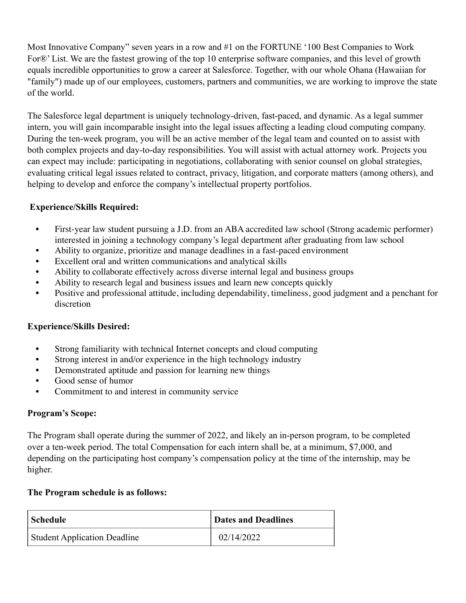Most Innovative Company" seven years in a row and #1 on the FORTUNE '100 Best Companies to Work For®' List. We are the fastest growing of the top 10 enterprise software companies, and this level of growth equals incredible opportunities to grow a career at Salesforce. Together, with our whole Ohana (Hawaiian for "family") made up of our employees, customers, partners and communities, we are working to improve the state of the world.

The Salesforce legal department is uniquely technology-driven, fast-paced, and dynamic. As a legal summer intern, you will gain incomparable insight into the legal issues affecting a leading cloud computing company. During the ten-week program, you will be an active member of the legal team and counted on to assist with both complex projects and day-to-day responsibilities. You will assist with actual attorney work. Projects you can expect may include: participating in negotiations, collaborating with senior counsel on global strategies, evaluating critical legal issues related to contract, privacy, litigation, and corporate matters (among others), and helping to develop and enforce the company's intellectual property portfolios.

# **Experience/Skills Required:**

- First-year law student pursuing a J.D. from an ABA accredited law school (Strong academic performer) interested in joining a technology company's legal department after graduating from law school
- Ability to organize, prioritize and manage deadlines in a fast-paced environment
- Excellent oral and written communications and analytical skills
- Ability to collaborate effectively across diverse internal legal and business groups
- Ability to research legal and business issues and learn new concepts quickly
- Positive and professional attitude, including dependability, timeliness, good judgment and a penchant for discretion

## **Experience/Skills Desired:**

- Strong familiarity with technical Internet concepts and cloud computing
- Strong interest in and/or experience in the high technology industry
- Demonstrated aptitude and passion for learning new things
- Good sense of humor
- Commitment to and interest in community service

## **Program's Scope:**

The Program shall operate during the summer of 2022, and likely an in-person program, to be completed over a ten-week period. The total Compensation for each intern shall be, at a minimum, \$7,000, and depending on the participating host company's compensation policy at the time of the internship, may be higher.

#### **The Program schedule is as follows:**

| Schedule                            | <b>Dates and Deadlines</b> |
|-------------------------------------|----------------------------|
| <b>Student Application Deadline</b> | 02/14/2022                 |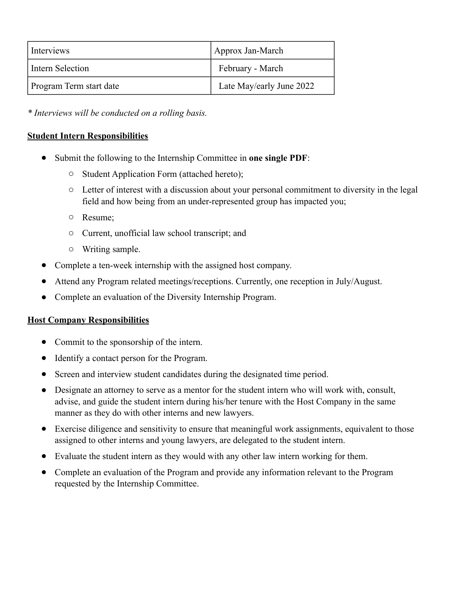| Interviews              | Approx Jan-March         |
|-------------------------|--------------------------|
| Intern Selection        | February - March         |
| Program Term start date | Late May/early June 2022 |

*\* Interviews will be conducted on a rolling basis.* 

# **Student Intern Responsibilities**

- Submit the following to the Internship Committee in **one single PDF**:
	- o Student Application Form (attached hereto);
	- o Letter of interest with a discussion about your personal commitment to diversity in the legal field and how being from an under-represented group has impacted you;
	- o Resume;
	- o Current, unofficial law school transcript; and
	- o Writing sample.
- Complete a ten-week internship with the assigned host company.
- Attend any Program related meetings/receptions. Currently, one reception in July/August.
- Complete an evaluation of the Diversity Internship Program.

## **Host Company Responsibilities**

- Commit to the sponsorship of the intern.
- Identify a contact person for the Program.
- Screen and interview student candidates during the designated time period.
- Designate an attorney to serve as a mentor for the student intern who will work with, consult, advise, and guide the student intern during his/her tenure with the Host Company in the same manner as they do with other interns and new lawyers.
- Exercise diligence and sensitivity to ensure that meaningful work assignments, equivalent to those assigned to other interns and young lawyers, are delegated to the student intern.
- Evaluate the student intern as they would with any other law intern working for them.
- Complete an evaluation of the Program and provide any information relevant to the Program requested by the Internship Committee.